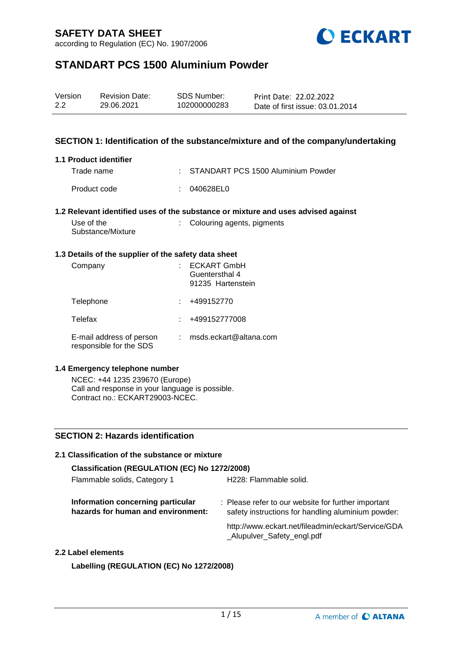

# **STANDART PCS 1500 Aluminium Powder**

| Version | <b>Revision Date:</b> | SDS Number:  | Print Date: 22.02.2022          |
|---------|-----------------------|--------------|---------------------------------|
| 2.2     | 29.06.2021            | 102000000283 | Date of first issue: 03.01.2014 |

### **SECTION 1: Identification of the substance/mixture and of the company/undertaking**

#### **1.1 Product identifier**

| Trade name   | : STANDART PCS 1500 Aluminium Powder |
|--------------|--------------------------------------|
| Product code | : 040628EL0                          |

#### **1.2 Relevant identified uses of the substance or mixture and uses advised against**

| Use of the        | : Colouring agents, pigments |
|-------------------|------------------------------|
| Substance/Mixture |                              |

#### **1.3 Details of the supplier of the safety data sheet**

| Company                                             | <b>ECKART GmbH</b><br>Guentersthal 4<br>91235 Hartenstein |
|-----------------------------------------------------|-----------------------------------------------------------|
| Telephone                                           | +499152770                                                |
| Telefax                                             | +499152777008                                             |
| E-mail address of person<br>responsible for the SDS | msds.eckart@altana.com                                    |

#### **1.4 Emergency telephone number**

NCEC: +44 1235 239670 (Europe) Call and response in your language is possible. Contract no.: ECKART29003-NCEC.

## **SECTION 2: Hazards identification**

## **2.1 Classification of the substance or mixture Classification (REGULATION (EC) No 1272/2008)** Flammable solids, Category 1 H228: Flammable solid. **Information concerning particular hazards for human and environment:** : Please refer to our website for further important safety instructions for handling aluminium powder: http://www.eckart.net/fileadmin/eckart/Service/GDA \_Alupulver\_Safety\_engl.pdf **2.2 Label elements**

**Labelling (REGULATION (EC) No 1272/2008)**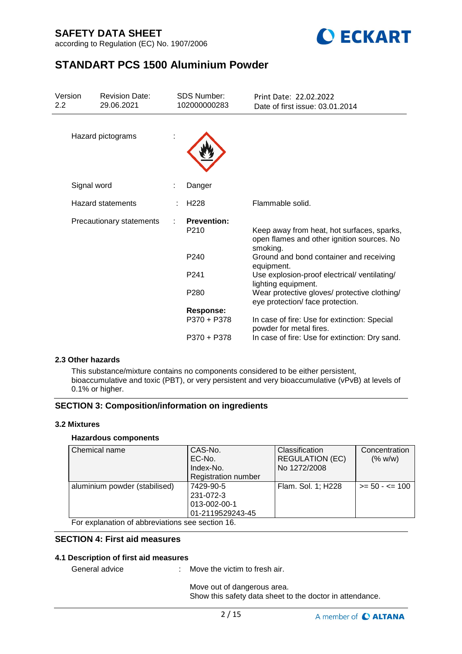



# **STANDART PCS 1500 Aluminium Powder**

| Version<br><b>Revision Date:</b><br>29.06.2021<br>2.2 |                          | <b>SDS Number:</b><br>102000000283 | Print Date: 22.02.2022<br>Date of first issue: 03.01.2014                                            |  |  |
|-------------------------------------------------------|--------------------------|------------------------------------|------------------------------------------------------------------------------------------------------|--|--|
|                                                       | Hazard pictograms        |                                    |                                                                                                      |  |  |
|                                                       | Signal word              | Danger                             |                                                                                                      |  |  |
|                                                       | <b>Hazard statements</b> | H <sub>228</sub>                   | Flammable solid.                                                                                     |  |  |
|                                                       | Precautionary statements | <b>Prevention:</b><br>P210         | Keep away from heat, hot surfaces, sparks,<br>open flames and other ignition sources. No<br>smoking. |  |  |
|                                                       |                          | P <sub>240</sub>                   | Ground and bond container and receiving<br>equipment.                                                |  |  |
|                                                       |                          | P <sub>241</sub>                   | Use explosion-proof electrical/ventilating/<br>lighting equipment.                                   |  |  |
|                                                       |                          | P <sub>280</sub>                   | Wear protective gloves/ protective clothing/<br>eye protection/ face protection.                     |  |  |
|                                                       |                          | <b>Response:</b>                   |                                                                                                      |  |  |
|                                                       |                          | P370 + P378                        | In case of fire: Use for extinction: Special<br>powder for metal fires.                              |  |  |
|                                                       |                          | P370 + P378                        | In case of fire: Use for extinction: Dry sand.                                                       |  |  |

#### **2.3 Other hazards**

This substance/mixture contains no components considered to be either persistent, bioaccumulative and toxic (PBT), or very persistent and very bioaccumulative (vPvB) at levels of 0.1% or higher.

### **SECTION 3: Composition/information on ingredients**

### **3.2 Mixtures**

### **Hazardous components**

| Chemical name                                                                                                   | CAS-No.<br>EC-No.<br>Index-No.<br>Registration number      | <b>Classification</b><br><b>REGULATION (EC)</b><br>No 1272/2008 | Concentration<br>(% w/w) |
|-----------------------------------------------------------------------------------------------------------------|------------------------------------------------------------|-----------------------------------------------------------------|--------------------------|
| aluminium powder (stabilised)<br>$\Gamma$ and according the set of all large distinguished and set of $\Lambda$ | 7429-90-5<br>231-072-3<br>013-002-00-1<br>01-2119529243-45 | Flam. Sol. 1; H228                                              | $>= 50 - 5 = 100$        |

For explanation of abbreviations see section 16.

## **SECTION 4: First aid measures**

#### **4.1 Description of first aid measures**

General advice : Move the victim to fresh air.

Move out of dangerous area. Show this safety data sheet to the doctor in attendance.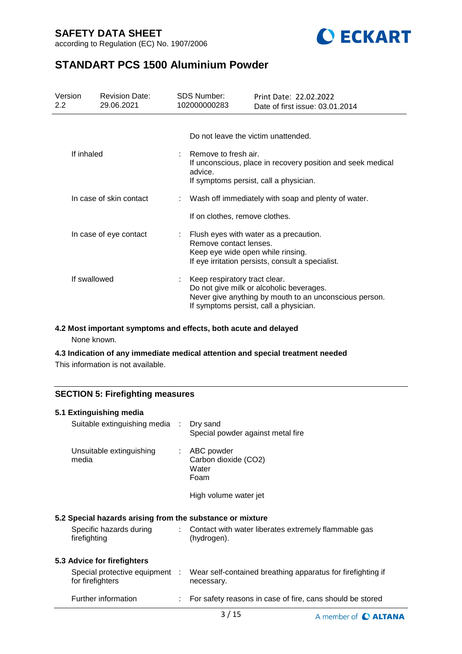

# **STANDART PCS 1500 Aluminium Powder**

| Version<br>$2.2^{\circ}$ | <b>Revision Date:</b><br>29.06.2021 | <b>SDS Number:</b><br>102000000283                                                                                                                         | Print Date: 22.02.2022 | Date of first issue: 03.01.2014                             |
|--------------------------|-------------------------------------|------------------------------------------------------------------------------------------------------------------------------------------------------------|------------------------|-------------------------------------------------------------|
|                          |                                     | Do not leave the victim unattended.                                                                                                                        |                        |                                                             |
| If inhaled               |                                     | Remove to fresh air.<br>advice.<br>If symptoms persist, call a physician.                                                                                  |                        | If unconscious, place in recovery position and seek medical |
| In case of skin contact  |                                     |                                                                                                                                                            |                        | Wash off immediately with soap and plenty of water.         |
|                          |                                     | If on clothes, remove clothes.                                                                                                                             |                        |                                                             |
| In case of eye contact   |                                     | Flush eyes with water as a precaution.<br>Remove contact lenses.<br>Keep eye wide open while rinsing.<br>If eye irritation persists, consult a specialist. |                        |                                                             |
| If swallowed             |                                     | Keep respiratory tract clear.<br>Do not give milk or alcoholic beverages.<br>If symptoms persist, call a physician.                                        |                        | Never give anything by mouth to an unconscious person.      |

### **4.2 Most important symptoms and effects, both acute and delayed**

None known.

## **4.3 Indication of any immediate medical attention and special treatment needed**

This information is not available.

## **SECTION 5: Firefighting measures**

| 5.1 Extinguishing media                                   |    |                                                                           |
|-----------------------------------------------------------|----|---------------------------------------------------------------------------|
| Suitable extinguishing media :                            |    | Dry sand<br>Special powder against metal fire                             |
| Unsuitable extinguishing<br>media                         | ÷  | ABC powder<br>Carbon dioxide (CO2)<br>Water<br>Foam                       |
|                                                           |    | High volume water jet                                                     |
| 5.2 Special hazards arising from the substance or mixture |    |                                                                           |
| Specific hazards during<br>firefighting                   | t. | Contact with water liberates extremely flammable gas<br>(hydrogen).       |
| 5.3 Advice for firefighters                               |    |                                                                           |
| Special protective equipment :<br>for firefighters        |    | Wear self-contained breathing apparatus for firefighting if<br>necessary. |
| Further information                                       |    | For safety reasons in case of fire, cans should be stored                 |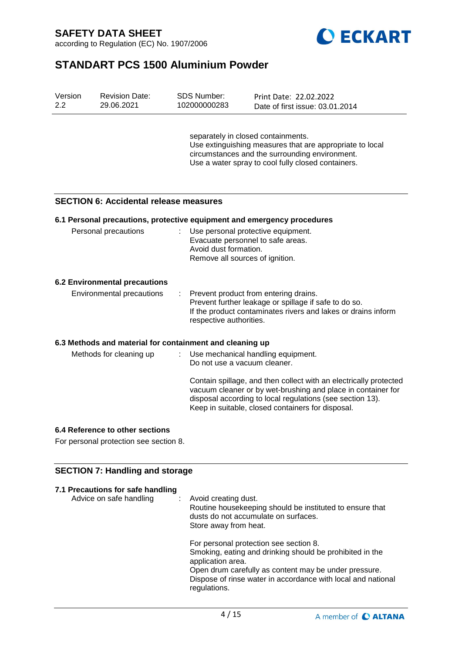



# **STANDART PCS 1500 Aluminium Powder**

| Version<br>2.2 | <b>Revision Date:</b><br>29.06.2021                      |    | SDS Number:<br>102000000283                                                                   | Print Date: 22.02.2022<br>Date of first issue: 03.01.2014                                                                                                                                                                                           |
|----------------|----------------------------------------------------------|----|-----------------------------------------------------------------------------------------------|-----------------------------------------------------------------------------------------------------------------------------------------------------------------------------------------------------------------------------------------------------|
|                |                                                          |    | separately in closed containments.                                                            | Use extinguishing measures that are appropriate to local<br>circumstances and the surrounding environment.<br>Use a water spray to cool fully closed containers.                                                                                    |
|                | <b>SECTION 6: Accidental release measures</b>            |    |                                                                                               |                                                                                                                                                                                                                                                     |
|                |                                                          |    |                                                                                               | 6.1 Personal precautions, protective equipment and emergency procedures                                                                                                                                                                             |
|                | Personal precautions                                     |    | Evacuate personnel to safe areas.<br>Avoid dust formation.<br>Remove all sources of ignition. | Use personal protective equipment.                                                                                                                                                                                                                  |
|                | <b>6.2 Environmental precautions</b>                     |    |                                                                                               |                                                                                                                                                                                                                                                     |
|                | Environmental precautions                                | ÷. | respective authorities.                                                                       | Prevent product from entering drains.<br>Prevent further leakage or spillage if safe to do so.<br>If the product contaminates rivers and lakes or drains inform                                                                                     |
|                | 6.3 Methods and material for containment and cleaning up |    |                                                                                               |                                                                                                                                                                                                                                                     |
|                | Methods for cleaning up                                  |    | Do not use a vacuum cleaner.                                                                  | Use mechanical handling equipment.                                                                                                                                                                                                                  |
|                |                                                          |    |                                                                                               | Contain spillage, and then collect with an electrically protected<br>vacuum cleaner or by wet-brushing and place in container for<br>disposal according to local regulations (see section 13).<br>Keep in suitable, closed containers for disposal. |
|                | 6.4 Reference to other sections                          |    |                                                                                               |                                                                                                                                                                                                                                                     |

For personal protection see section 8.

# **SECTION 7: Handling and storage**

| 7.1 Precautions for safe handling<br>Advice on safe handling | : Avoid creating dust.<br>Routine housekeeping should be instituted to ensure that<br>dusts do not accumulate on surfaces.<br>Store away from heat.                                                                                                              |
|--------------------------------------------------------------|------------------------------------------------------------------------------------------------------------------------------------------------------------------------------------------------------------------------------------------------------------------|
|                                                              | For personal protection see section 8.<br>Smoking, eating and drinking should be prohibited in the<br>application area.<br>Open drum carefully as content may be under pressure.<br>Dispose of rinse water in accordance with local and national<br>regulations. |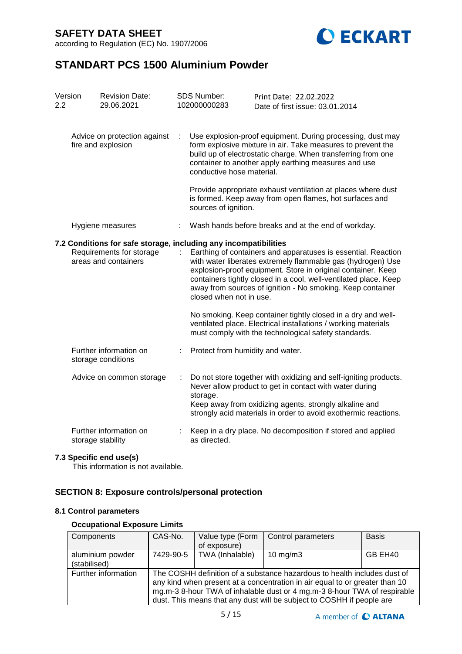according to Regulation (EC) No. 1907/2006



# **STANDART PCS 1500 Aluminium Powder**

| Version<br>2.2                                                                                                       |  | <b>Revision Date:</b><br>29.06.2021          | <b>SDS Number:</b><br>102000000283                                                                                                                                                                                                                                                                                             | Print Date: 22.02.2022<br>Date of first issue: 03.01.2014                                                                                                                                                                                                |
|----------------------------------------------------------------------------------------------------------------------|--|----------------------------------------------|--------------------------------------------------------------------------------------------------------------------------------------------------------------------------------------------------------------------------------------------------------------------------------------------------------------------------------|----------------------------------------------------------------------------------------------------------------------------------------------------------------------------------------------------------------------------------------------------------|
| Advice on protection against<br>fire and explosion                                                                   |  |                                              | conductive hose material.                                                                                                                                                                                                                                                                                                      | Use explosion-proof equipment. During processing, dust may<br>form explosive mixture in air. Take measures to prevent the<br>build up of electrostatic charge. When transferring from one<br>container to another apply earthing measures and use        |
|                                                                                                                      |  |                                              | sources of ignition.                                                                                                                                                                                                                                                                                                           | Provide appropriate exhaust ventilation at places where dust<br>is formed. Keep away from open flames, hot surfaces and                                                                                                                                  |
|                                                                                                                      |  | Hygiene measures                             |                                                                                                                                                                                                                                                                                                                                | Wash hands before breaks and at the end of workday.                                                                                                                                                                                                      |
| 7.2 Conditions for safe storage, including any incompatibilities<br>Requirements for storage<br>areas and containers |  | closed when not in use.                      | Earthing of containers and apparatuses is essential. Reaction<br>with water liberates extremely flammable gas (hydrogen) Use<br>explosion-proof equipment. Store in original container. Keep<br>containers tightly closed in a cool, well-ventilated place. Keep<br>away from sources of ignition - No smoking. Keep container |                                                                                                                                                                                                                                                          |
|                                                                                                                      |  |                                              |                                                                                                                                                                                                                                                                                                                                | No smoking. Keep container tightly closed in a dry and well-<br>ventilated place. Electrical installations / working materials<br>must comply with the technological safety standards.                                                                   |
|                                                                                                                      |  | Further information on<br>storage conditions | Protect from humidity and water.                                                                                                                                                                                                                                                                                               |                                                                                                                                                                                                                                                          |
|                                                                                                                      |  | Advice on common storage                     | storage.                                                                                                                                                                                                                                                                                                                       | Do not store together with oxidizing and self-igniting products.<br>Never allow product to get in contact with water during<br>Keep away from oxidizing agents, strongly alkaline and<br>strongly acid materials in order to avoid exothermic reactions. |
|                                                                                                                      |  | Further information on<br>storage stability  | as directed.                                                                                                                                                                                                                                                                                                                   | Keep in a dry place. No decomposition if stored and applied                                                                                                                                                                                              |

### **7.3 Specific end use(s)**

This information is not available.

# **SECTION 8: Exposure controls/personal protection**

### **8.1 Control parameters**

## **Occupational Exposure Limits**

| Components                       | CAS-No.                                                                                                                                                                                                                                                                                                      | Value type (Form<br>of exposure) | Control parameters | <b>Basis</b> |  |  |
|----------------------------------|--------------------------------------------------------------------------------------------------------------------------------------------------------------------------------------------------------------------------------------------------------------------------------------------------------------|----------------------------------|--------------------|--------------|--|--|
| aluminium powder<br>(stabilised) | 7429-90-5                                                                                                                                                                                                                                                                                                    | TWA (Inhalable)                  | $10$ mg/m $3$      | GB EH40      |  |  |
| Further information              | The COSHH definition of a substance hazardous to health includes dust of<br>any kind when present at a concentration in air equal to or greater than 10<br>mg.m-3 8-hour TWA of inhalable dust or 4 mg.m-3 8-hour TWA of respirable<br>dust. This means that any dust will be subject to COSHH if people are |                                  |                    |              |  |  |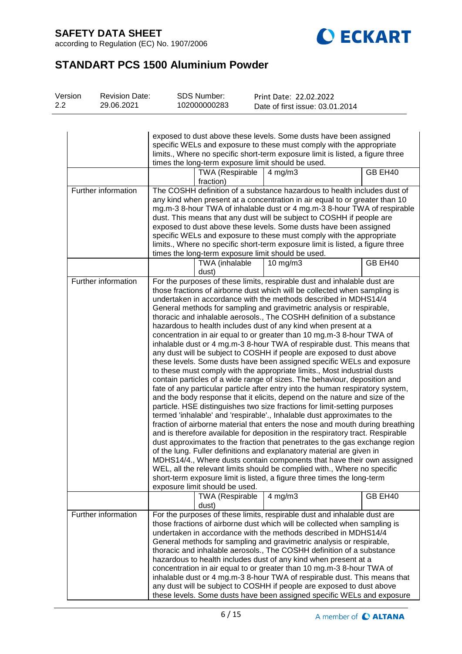according to Regulation (EC) No. 1907/2006



# **STANDART PCS 1500 Aluminium Powder**

| Version | <b>Revision Date:</b> | SDS Number:  | Print Date: 22.02.2022          |
|---------|-----------------------|--------------|---------------------------------|
| 2.2     | 29.06.2021            | 102000000283 | Date of first issue: 03.01.2014 |

|                     | exposed to dust above these levels. Some dusts have been assigned<br>specific WELs and exposure to these must comply with the appropriate<br>limits., Where no specific short-term exposure limit is listed, a figure three<br>times the long-term exposure limit should be used.                                                                                                                                                                                                                                                                                                                 |                                                          |                                                                                                                                                                                                                                                                                                                                                                                                                                                                                                                                                                                                                                                                                                                                                                                                                                                                                                                                                                                                                                                                                                                                                                                                                                                                                                                                                                                                                                                                                                                                                                                                                                                                                                                                                                                                                       |         |  |  |
|---------------------|---------------------------------------------------------------------------------------------------------------------------------------------------------------------------------------------------------------------------------------------------------------------------------------------------------------------------------------------------------------------------------------------------------------------------------------------------------------------------------------------------------------------------------------------------------------------------------------------------|----------------------------------------------------------|-----------------------------------------------------------------------------------------------------------------------------------------------------------------------------------------------------------------------------------------------------------------------------------------------------------------------------------------------------------------------------------------------------------------------------------------------------------------------------------------------------------------------------------------------------------------------------------------------------------------------------------------------------------------------------------------------------------------------------------------------------------------------------------------------------------------------------------------------------------------------------------------------------------------------------------------------------------------------------------------------------------------------------------------------------------------------------------------------------------------------------------------------------------------------------------------------------------------------------------------------------------------------------------------------------------------------------------------------------------------------------------------------------------------------------------------------------------------------------------------------------------------------------------------------------------------------------------------------------------------------------------------------------------------------------------------------------------------------------------------------------------------------------------------------------------------------|---------|--|--|
|                     |                                                                                                                                                                                                                                                                                                                                                                                                                                                                                                                                                                                                   | <b>TWA (Respirable</b><br>fraction)                      | $4$ mg/m $3$                                                                                                                                                                                                                                                                                                                                                                                                                                                                                                                                                                                                                                                                                                                                                                                                                                                                                                                                                                                                                                                                                                                                                                                                                                                                                                                                                                                                                                                                                                                                                                                                                                                                                                                                                                                                          | GB EH40 |  |  |
| Further information | The COSHH definition of a substance hazardous to health includes dust of<br>any kind when present at a concentration in air equal to or greater than 10<br>mg.m-3 8-hour TWA of inhalable dust or 4 mg.m-3 8-hour TWA of respirable<br>dust. This means that any dust will be subject to COSHH if people are<br>exposed to dust above these levels. Some dusts have been assigned<br>specific WELs and exposure to these must comply with the appropriate<br>limits., Where no specific short-term exposure limit is listed, a figure three<br>times the long-term exposure limit should be used. |                                                          |                                                                                                                                                                                                                                                                                                                                                                                                                                                                                                                                                                                                                                                                                                                                                                                                                                                                                                                                                                                                                                                                                                                                                                                                                                                                                                                                                                                                                                                                                                                                                                                                                                                                                                                                                                                                                       |         |  |  |
|                     |                                                                                                                                                                                                                                                                                                                                                                                                                                                                                                                                                                                                   | TWA (inhalable<br>dust)                                  | 10 $mg/m3$                                                                                                                                                                                                                                                                                                                                                                                                                                                                                                                                                                                                                                                                                                                                                                                                                                                                                                                                                                                                                                                                                                                                                                                                                                                                                                                                                                                                                                                                                                                                                                                                                                                                                                                                                                                                            | GB EH40 |  |  |
| Further information |                                                                                                                                                                                                                                                                                                                                                                                                                                                                                                                                                                                                   | exposure limit should be used.<br><b>TWA (Respirable</b> | For the purposes of these limits, respirable dust and inhalable dust are<br>those fractions of airborne dust which will be collected when sampling is<br>undertaken in accordance with the methods described in MDHS14/4<br>General methods for sampling and gravimetric analysis or respirable,<br>thoracic and inhalable aerosols., The COSHH definition of a substance<br>hazardous to health includes dust of any kind when present at a<br>concentration in air equal to or greater than 10 mg.m-3 8-hour TWA of<br>inhalable dust or 4 mg.m-3 8-hour TWA of respirable dust. This means that<br>any dust will be subject to COSHH if people are exposed to dust above<br>these levels. Some dusts have been assigned specific WELs and exposure<br>to these must comply with the appropriate limits., Most industrial dusts<br>contain particles of a wide range of sizes. The behaviour, deposition and<br>fate of any particular particle after entry into the human respiratory system,<br>and the body response that it elicits, depend on the nature and size of the<br>particle. HSE distinguishes two size fractions for limit-setting purposes<br>termed 'inhalable' and 'respirable'., Inhalable dust approximates to the<br>fraction of airborne material that enters the nose and mouth during breathing<br>and is therefore available for deposition in the respiratory tract. Respirable<br>dust approximates to the fraction that penetrates to the gas exchange region<br>of the lung. Fuller definitions and explanatory material are given in<br>MDHS14/4., Where dusts contain components that have their own assigned<br>WEL, all the relevant limits should be complied with., Where no specific<br>short-term exposure limit is listed, a figure three times the long-term<br>$4$ mg/m $3$ | GB EH40 |  |  |
| Further information |                                                                                                                                                                                                                                                                                                                                                                                                                                                                                                                                                                                                   | dust)                                                    | For the purposes of these limits, respirable dust and inhalable dust are                                                                                                                                                                                                                                                                                                                                                                                                                                                                                                                                                                                                                                                                                                                                                                                                                                                                                                                                                                                                                                                                                                                                                                                                                                                                                                                                                                                                                                                                                                                                                                                                                                                                                                                                              |         |  |  |
|                     |                                                                                                                                                                                                                                                                                                                                                                                                                                                                                                                                                                                                   |                                                          | those fractions of airborne dust which will be collected when sampling is<br>undertaken in accordance with the methods described in MDHS14/4<br>General methods for sampling and gravimetric analysis or respirable,<br>thoracic and inhalable aerosols., The COSHH definition of a substance<br>hazardous to health includes dust of any kind when present at a<br>concentration in air equal to or greater than 10 mg.m-3 8-hour TWA of<br>inhalable dust or 4 mg.m-3 8-hour TWA of respirable dust. This means that<br>any dust will be subject to COSHH if people are exposed to dust above<br>these levels. Some dusts have been assigned specific WELs and exposure                                                                                                                                                                                                                                                                                                                                                                                                                                                                                                                                                                                                                                                                                                                                                                                                                                                                                                                                                                                                                                                                                                                                             |         |  |  |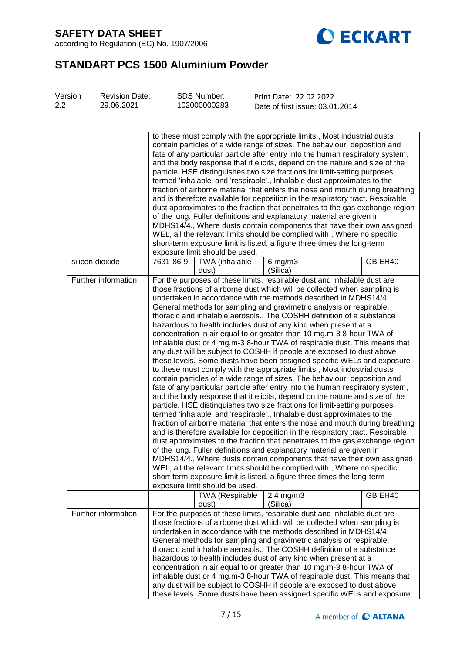

# **STANDART PCS 1500 Aluminium Powder**

| Version<br>2.2 | <b>Revision Date:</b><br>29.06.2021 | <b>SDS Number:</b><br>102000000283                                                                                                                                                                                                                                                                                                                                                                                                                                                                                                                                                                                                                                                                                                                                                                                                                                                                                                                                                                                                                                                                                                                                                                                                                                                                                                                                                                                                                                                                                                                                                                                                                                                                                                                                                                                                      | Print Date: 22.02.2022<br>Date of first issue: 03.01.2014 |         |
|----------------|-------------------------------------|-----------------------------------------------------------------------------------------------------------------------------------------------------------------------------------------------------------------------------------------------------------------------------------------------------------------------------------------------------------------------------------------------------------------------------------------------------------------------------------------------------------------------------------------------------------------------------------------------------------------------------------------------------------------------------------------------------------------------------------------------------------------------------------------------------------------------------------------------------------------------------------------------------------------------------------------------------------------------------------------------------------------------------------------------------------------------------------------------------------------------------------------------------------------------------------------------------------------------------------------------------------------------------------------------------------------------------------------------------------------------------------------------------------------------------------------------------------------------------------------------------------------------------------------------------------------------------------------------------------------------------------------------------------------------------------------------------------------------------------------------------------------------------------------------------------------------------------------|-----------------------------------------------------------|---------|
|                |                                     | to these must comply with the appropriate limits., Most industrial dusts<br>contain particles of a wide range of sizes. The behaviour, deposition and<br>fate of any particular particle after entry into the human respiratory system,<br>and the body response that it elicits, depend on the nature and size of the<br>particle. HSE distinguishes two size fractions for limit-setting purposes<br>termed 'inhalable' and 'respirable'., Inhalable dust approximates to the<br>fraction of airborne material that enters the nose and mouth during breathing<br>and is therefore available for deposition in the respiratory tract. Respirable<br>dust approximates to the fraction that penetrates to the gas exchange region<br>of the lung. Fuller definitions and explanatory material are given in<br>MDHS14/4., Where dusts contain components that have their own assigned<br>WEL, all the relevant limits should be complied with., Where no specific<br>short-term exposure limit is listed, a figure three times the long-term<br>exposure limit should be used.                                                                                                                                                                                                                                                                                                                                                                                                                                                                                                                                                                                                                                                                                                                                                          |                                                           |         |
|                | silicon dioxide                     | 7631-86-9<br>TWA (inhalable<br>dust)                                                                                                                                                                                                                                                                                                                                                                                                                                                                                                                                                                                                                                                                                                                                                                                                                                                                                                                                                                                                                                                                                                                                                                                                                                                                                                                                                                                                                                                                                                                                                                                                                                                                                                                                                                                                    | $6$ mg/m $3$<br>(Silica)                                  | GB EH40 |
|                | Further information                 | For the purposes of these limits, respirable dust and inhalable dust are<br>those fractions of airborne dust which will be collected when sampling is<br>undertaken in accordance with the methods described in MDHS14/4<br>General methods for sampling and gravimetric analysis or respirable,<br>thoracic and inhalable aerosols., The COSHH definition of a substance<br>hazardous to health includes dust of any kind when present at a<br>concentration in air equal to or greater than 10 mg.m-3 8-hour TWA of<br>inhalable dust or 4 mg.m-3 8-hour TWA of respirable dust. This means that<br>any dust will be subject to COSHH if people are exposed to dust above<br>these levels. Some dusts have been assigned specific WELs and exposure<br>to these must comply with the appropriate limits., Most industrial dusts<br>contain particles of a wide range of sizes. The behaviour, deposition and<br>fate of any particular particle after entry into the human respiratory system,<br>and the body response that it elicits, depend on the nature and size of the<br>particle. HSE distinguishes two size fractions for limit-setting purposes<br>termed 'inhalable' and 'respirable'., Inhalable dust approximates to the<br>fraction of airborne material that enters the nose and mouth during breathing<br>and is therefore available for deposition in the respiratory tract. Respirable<br>dust approximates to the fraction that penetrates to the gas exchange region<br>of the lung. Fuller definitions and explanatory material are given in<br>MDHS14/4., Where dusts contain components that have their own assigned<br>WEL, all the relevant limits should be complied with., Where no specific<br>short-term exposure limit is listed, a figure three times the long-term<br>exposure limit should be used. |                                                           |         |
|                |                                     | <b>TWA (Respirable</b><br>dust)                                                                                                                                                                                                                                                                                                                                                                                                                                                                                                                                                                                                                                                                                                                                                                                                                                                                                                                                                                                                                                                                                                                                                                                                                                                                                                                                                                                                                                                                                                                                                                                                                                                                                                                                                                                                         | $2.4 \text{ mg/m}$ 3<br>(Silica)                          | GB EH40 |
|                | Further information                 | For the purposes of these limits, respirable dust and inhalable dust are<br>those fractions of airborne dust which will be collected when sampling is<br>undertaken in accordance with the methods described in MDHS14/4<br>General methods for sampling and gravimetric analysis or respirable,<br>thoracic and inhalable aerosols., The COSHH definition of a substance<br>hazardous to health includes dust of any kind when present at a<br>concentration in air equal to or greater than 10 mg.m-3 8-hour TWA of<br>inhalable dust or 4 mg.m-3 8-hour TWA of respirable dust. This means that<br>any dust will be subject to COSHH if people are exposed to dust above<br>these levels. Some dusts have been assigned specific WELs and exposure                                                                                                                                                                                                                                                                                                                                                                                                                                                                                                                                                                                                                                                                                                                                                                                                                                                                                                                                                                                                                                                                                   |                                                           |         |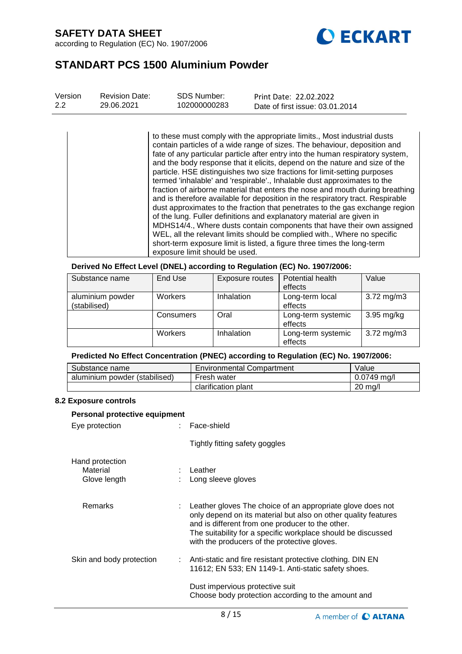

# **STANDART PCS 1500 Aluminium Powder**

| Version | <b>Revision Date:</b> | SDS Number:  | Print Date: 22.02.2022          |
|---------|-----------------------|--------------|---------------------------------|
| 2.2     | 29.06.2021            | 102000000283 | Date of first issue: 03.01.2014 |

to these must comply with the appropriate limits., Most industrial dusts contain particles of a wide range of sizes. The behaviour, deposition and fate of any particular particle after entry into the human respiratory system, and the body response that it elicits, depend on the nature and size of the particle. HSE distinguishes two size fractions for limit-setting purposes termed 'inhalable' and 'respirable'., Inhalable dust approximates to the fraction of airborne material that enters the nose and mouth during breathing and is therefore available for deposition in the respiratory tract. Respirable dust approximates to the fraction that penetrates to the gas exchange region of the lung. Fuller definitions and explanatory material are given in MDHS14/4., Where dusts contain components that have their own assigned WEL, all the relevant limits should be complied with., Where no specific short-term exposure limit is listed, a figure three times the long-term exposure limit should be used.

#### **Derived No Effect Level (DNEL) according to Regulation (EC) No. 1907/2006:**

| Substance name                   | End Use   | <b>Exposure routes</b> | Potential health<br>effects   | Value                   |
|----------------------------------|-----------|------------------------|-------------------------------|-------------------------|
| aluminium powder<br>(stabilised) | Workers   | Inhalation             | Long-term local<br>effects    | $3.72 \,\mathrm{mg/m3}$ |
|                                  | Consumers | Oral                   | Long-term systemic<br>effects | $3.95$ mg/kg            |
|                                  | Workers   | Inhalation             | Long-term systemic<br>effects | $3.72 \,\mathrm{mg/m3}$ |

## **Predicted No Effect Concentration (PNEC) according to Regulation (EC) No. 1907/2006:**

| Substance name                | <b>Environmental Compartment</b> | Value             |
|-------------------------------|----------------------------------|-------------------|
| aluminium powder (stabilised) | Fresh water                      | $0.0749$ mg/l     |
|                               | clarification plant              | $20 \text{ ma/l}$ |

#### **8.2 Exposure controls**

| Personal protective equipment               |  |                                                                                                                                                                                                                                                                                                               |  |  |  |  |
|---------------------------------------------|--|---------------------------------------------------------------------------------------------------------------------------------------------------------------------------------------------------------------------------------------------------------------------------------------------------------------|--|--|--|--|
| Eye protection                              |  | : Face-shield                                                                                                                                                                                                                                                                                                 |  |  |  |  |
|                                             |  | Tightly fitting safety goggles                                                                                                                                                                                                                                                                                |  |  |  |  |
| Hand protection<br>Material<br>Glove length |  | $:$ Leather<br>: Long sleeve gloves                                                                                                                                                                                                                                                                           |  |  |  |  |
| <b>Remarks</b>                              |  | $\therefore$ Leather gloves The choice of an appropriate glove does not<br>only depend on its material but also on other quality features<br>and is different from one producer to the other.<br>The suitability for a specific workplace should be discussed<br>with the producers of the protective gloves. |  |  |  |  |
| Skin and body protection                    |  | : Anti-static and fire resistant protective clothing. DIN EN<br>11612; EN 533; EN 1149-1. Anti-static safety shoes.                                                                                                                                                                                           |  |  |  |  |
|                                             |  | Dust impervious protective suit<br>Choose body protection according to the amount and                                                                                                                                                                                                                         |  |  |  |  |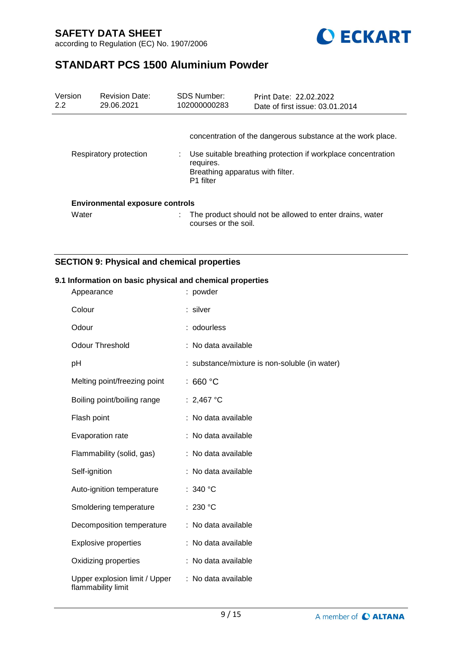

# **STANDART PCS 1500 Aluminium Powder**

| Version<br>2.2 | <b>Revision Date:</b><br>29.06.2021    | <b>SDS Number:</b><br>102000000283 | Print Date: 22.02.2022<br>Date of first issue: 03.01.2014                                                                                                       |
|----------------|----------------------------------------|------------------------------------|-----------------------------------------------------------------------------------------------------------------------------------------------------------------|
|                | Respiratory protection                 | requires.<br>P <sub>1</sub> filter | concentration of the dangerous substance at the work place.<br>Use suitable breathing protection if workplace concentration<br>Breathing apparatus with filter. |
|                | <b>Environmental exposure controls</b> |                                    |                                                                                                                                                                 |
| Water          |                                        | courses or the soil.               | The product should not be allowed to enter drains, water                                                                                                        |

## **SECTION 9: Physical and chemical properties**

### **9.1 Information on basic physical and chemical properties**

| Appearance                                          | : powder                                      |
|-----------------------------------------------------|-----------------------------------------------|
| Colour                                              | : silver                                      |
| Odour                                               | : odourless                                   |
| <b>Odour Threshold</b>                              | : No data available                           |
| pH                                                  | : substance/mixture is non-soluble (in water) |
| Melting point/freezing point                        | : 660 $^{\circ}$ C                            |
| Boiling point/boiling range                         | : 2,467 °C                                    |
| Flash point                                         | : No data available                           |
| Evaporation rate                                    | : No data available                           |
| Flammability (solid, gas)                           | : No data available                           |
| Self-ignition                                       | : No data available                           |
| Auto-ignition temperature                           | : 340 $^{\circ}$ C                            |
| Smoldering temperature                              | : 230 $^{\circ}$ C                            |
| Decomposition temperature                           | : No data available                           |
| <b>Explosive properties</b>                         | : No data available                           |
| Oxidizing properties                                | : No data available                           |
| Upper explosion limit / Upper<br>flammability limit | : No data available                           |
|                                                     |                                               |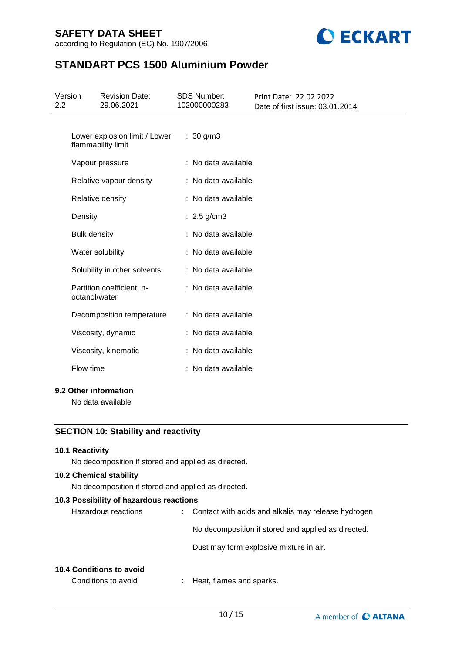

# **STANDART PCS 1500 Aluminium Powder**

| Version<br>2.2 |                     | <b>Revision Date:</b><br>29.06.2021                            | <b>SDS Number:</b><br>102000000283 | Print Date: 22.02.2022<br>Date of first issue: 03.01.2014 |
|----------------|---------------------|----------------------------------------------------------------|------------------------------------|-----------------------------------------------------------|
|                |                     | Lower explosion limit / Lower<br>flammability limit            | : $30 g/m3$                        |                                                           |
|                |                     | Vapour pressure                                                | : No data available                |                                                           |
|                |                     | Relative vapour density                                        | : No data available                |                                                           |
|                |                     | Relative density                                               | : No data available                |                                                           |
|                | Density             |                                                                | $: 2.5$ g/cm3                      |                                                           |
|                | <b>Bulk density</b> |                                                                | : No data available                |                                                           |
|                |                     | Water solubility                                               | : No data available                |                                                           |
|                |                     | Solubility in other solvents                                   | : No data available                |                                                           |
|                | octanol/water       | Partition coefficient: n-                                      | : No data available                |                                                           |
|                |                     | Decomposition temperature                                      | : No data available                |                                                           |
|                |                     | Viscosity, dynamic                                             | : No data available                |                                                           |
|                |                     | Viscosity, kinematic                                           | : No data available                |                                                           |
|                | Flow time           |                                                                | : No data available                |                                                           |
|                |                     | 9.2 Other information                                          |                                    |                                                           |
|                |                     | No data available                                              |                                    |                                                           |
|                |                     | $\overline{10}$ $\overline{0}$ $\overline{11}$ $\overline{11}$ |                                    |                                                           |

## **SECTION 10: Stability and reactivity**

#### **10.1 Reactivity**

No decomposition if stored and applied as directed.

### **10.2 Chemical stability**

No decomposition if stored and applied as directed.

#### **10.3 Possibility of hazardous reactions**

| Hazardous reactions | : Contact with acids and alkalis may release hydrogen. |
|---------------------|--------------------------------------------------------|
|                     | No decomposition if stored and applied as directed.    |
|                     | Dust may form explosive mixture in air.                |
|                     |                                                        |

### **10.4 Conditions to avoid**

Conditions to avoid : Heat, flames and sparks.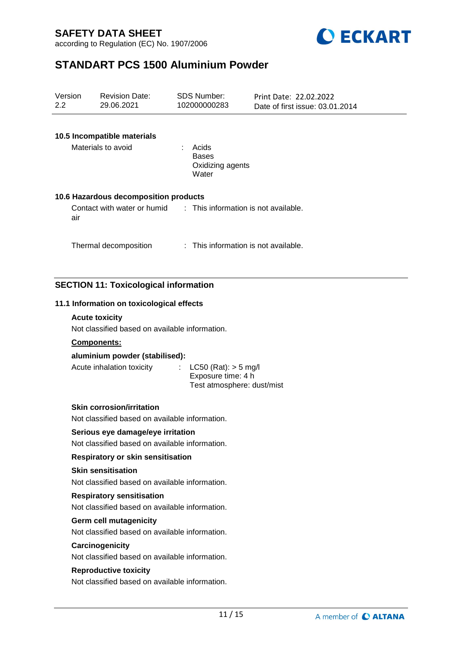



# **STANDART PCS 1500 Aluminium Powder**

| Version<br>2.2 | <b>Revision Date:</b><br>29.06.2021                                                 | <b>SDS Number:</b><br>102000000283                                           | Print Date: 22.02.2022<br>Date of first issue: 03.01.2014 |  |  |  |
|----------------|-------------------------------------------------------------------------------------|------------------------------------------------------------------------------|-----------------------------------------------------------|--|--|--|
|                | 10.5 Incompatible materials<br>Materials to avoid                                   | : Acids<br><b>Bases</b><br>Oxidizing agents<br>Water                         |                                                           |  |  |  |
|                | 10.6 Hazardous decomposition products                                               |                                                                              |                                                           |  |  |  |
| air            | Contact with water or humid                                                         | : This information is not available.                                         |                                                           |  |  |  |
|                | Thermal decomposition                                                               | : This information is not available.                                         |                                                           |  |  |  |
|                | <b>SECTION 11: Toxicological information</b>                                        |                                                                              |                                                           |  |  |  |
|                | 11.1 Information on toxicological effects                                           |                                                                              |                                                           |  |  |  |
|                | <b>Acute toxicity</b>                                                               |                                                                              |                                                           |  |  |  |
|                | Not classified based on available information.                                      |                                                                              |                                                           |  |  |  |
|                | Components:<br>aluminium powder (stabilised):                                       |                                                                              |                                                           |  |  |  |
|                | Acute inhalation toxicity                                                           | $LC50$ (Rat): $> 5$ mg/l<br>Exposure time: 4 h<br>Test atmosphere: dust/mist |                                                           |  |  |  |
|                | <b>Skin corrosion/irritation</b><br>Not classified based on available information.  |                                                                              |                                                           |  |  |  |
|                | Serious eye damage/eye irritation<br>Not classified based on available information. |                                                                              |                                                           |  |  |  |
|                | Respiratory or skin sensitisation                                                   |                                                                              |                                                           |  |  |  |
|                | <b>Skin sensitisation</b><br>Not classified based on available information.         |                                                                              |                                                           |  |  |  |
|                | <b>Respiratory sensitisation</b><br>Not classified based on available information.  |                                                                              |                                                           |  |  |  |
|                | <b>Germ cell mutagenicity</b><br>Not classified based on available information.     |                                                                              |                                                           |  |  |  |
|                | Carcinogenicity<br>Not classified based on available information.                   |                                                                              |                                                           |  |  |  |
|                | <b>Reproductive toxicity</b><br>Not classified based on available information.      |                                                                              |                                                           |  |  |  |
|                |                                                                                     |                                                                              |                                                           |  |  |  |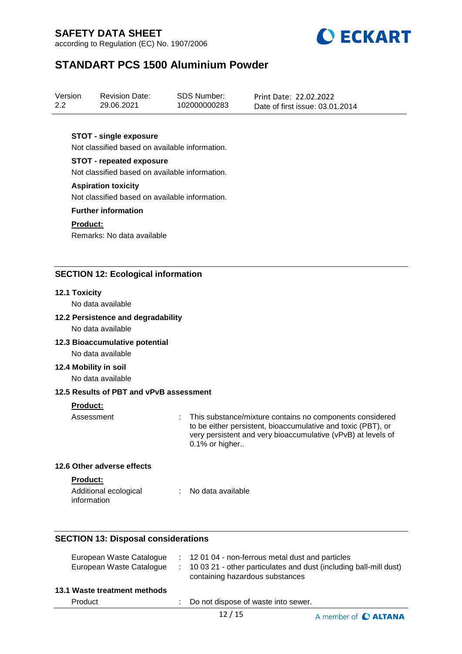according to Regulation (EC) No. 1907/2006



# **STANDART PCS 1500 Aluminium Powder**

| Version | <b>Revision Date:</b> | SDS Number:  | Print Date: 22.02.2022          |
|---------|-----------------------|--------------|---------------------------------|
| 2.2     | 29.06.2021            | 102000000283 | Date of first issue: 03.01.2014 |

#### **STOT - single exposure**

Not classified based on available information.

### **STOT - repeated exposure**

Not classified based on available information.

#### **Aspiration toxicity**

Not classified based on available information.

#### **Further information**

#### **Product:**

Remarks: No data available

### **SECTION 12: Ecological information**

#### **12.1 Toxicity**

No data available

#### **12.2 Persistence and degradability**

No data available

#### **12.3 Bioaccumulative potential**

No data available

#### **12.4 Mobility in soil**

No data available

#### **12.5 Results of PBT and vPvB assessment**

#### **Product:**

Assessment : This substance/mixture contains no components considered to be either persistent, bioaccumulative and toxic (PBT), or very persistent and very bioaccumulative (vPvB) at levels of 0.1% or higher..

#### **12.6 Other adverse effects**

#### **Product:**

| Additional ecological | No data available |
|-----------------------|-------------------|
| information           |                   |

#### **SECTION 13: Disposal considerations**

| European Waste Catalogue     | : 12 01 04 - non-ferrous metal dust and particles                                                      |
|------------------------------|--------------------------------------------------------------------------------------------------------|
| European Waste Catalogue     | : 10 03 21 - other particulates and dust (including ball-mill dust)<br>containing hazardous substances |
| 13.1 Waste treatment methods |                                                                                                        |

Product : Do not dispose of waste into sewer.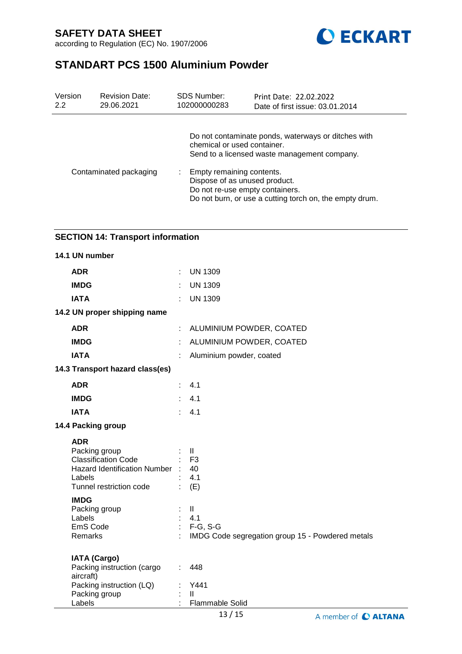

# **STANDART PCS 1500 Aluminium Powder**

| Version | <b>Revision Date:</b>  | <b>SDS Number:</b>                                                                        | Print Date: 22.02.2022                                                                                                                                                                            |
|---------|------------------------|-------------------------------------------------------------------------------------------|---------------------------------------------------------------------------------------------------------------------------------------------------------------------------------------------------|
| 2.2     | 29.06.2021             | 102000000283                                                                              | Date of first issue: 03.01.2014                                                                                                                                                                   |
|         | Contaminated packaging | chemical or used container.<br>Empty remaining contents.<br>Dispose of as unused product. | Do not contaminate ponds, waterways or ditches with<br>Send to a licensed waste management company.<br>Do not re-use empty containers.<br>Do not burn, or use a cutting torch on, the empty drum. |

# **SECTION 14: Transport information**

| 14.1 UN number                                                                                                                   |                       |                                                                                        |
|----------------------------------------------------------------------------------------------------------------------------------|-----------------------|----------------------------------------------------------------------------------------|
| <b>ADR</b>                                                                                                                       | ÷.                    | <b>UN 1309</b>                                                                         |
| <b>IMDG</b>                                                                                                                      | ÷                     | <b>UN 1309</b>                                                                         |
| <b>IATA</b>                                                                                                                      | ÷                     | <b>UN 1309</b>                                                                         |
| 14.2 UN proper shipping name                                                                                                     |                       |                                                                                        |
| <b>ADR</b>                                                                                                                       | ÷                     | ALUMINIUM POWDER, COATED                                                               |
| <b>IMDG</b>                                                                                                                      |                       | ALUMINIUM POWDER, COATED                                                               |
| <b>IATA</b>                                                                                                                      | ÷                     | Aluminium powder, coated                                                               |
| 14.3 Transport hazard class(es)                                                                                                  |                       |                                                                                        |
| <b>ADR</b>                                                                                                                       |                       | 4.1                                                                                    |
| <b>IMDG</b>                                                                                                                      |                       | 4.1                                                                                    |
| <b>IATA</b>                                                                                                                      | $\epsilon_{\rm{eff}}$ | 4.1                                                                                    |
| 14.4 Packing group                                                                                                               |                       |                                                                                        |
| <b>ADR</b><br>Packing group<br><b>Classification Code</b><br>Hazard Identification Number :<br>Labels<br>Tunnel restriction code |                       | $\mathbf{II}$<br>F <sub>3</sub><br>40<br>4.1<br>(E)                                    |
| <b>IMDG</b><br>Packing group<br>Labels<br>EmS Code<br>Remarks                                                                    | ÷.<br>÷               | $\mathbf{II}$<br>4.1<br>$F-G, S-G$<br>IMDG Code segregation group 15 - Powdered metals |
| <b>IATA (Cargo)</b><br>Packing instruction (cargo<br>aircraft)<br>Packing instruction (LQ)<br>Packing group<br>Labels            | ÷.<br>÷               | 448<br>Y441<br>$\mathbf{H}$<br>Flammable Solid                                         |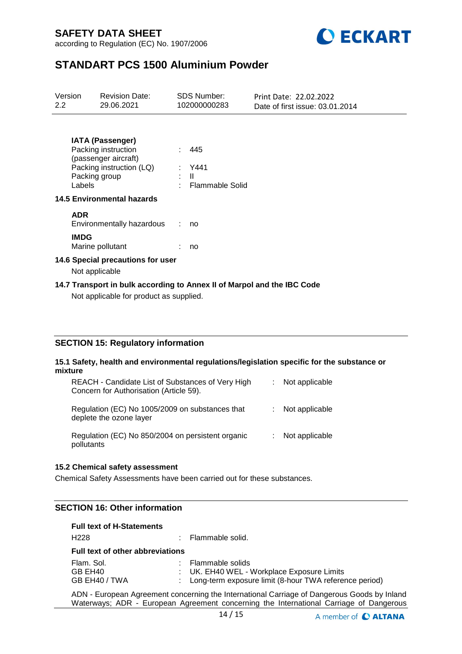

# **STANDART PCS 1500 Aluminium Powder**

| Version<br>$2.2^{\circ}$                                                                                           |                                   | Revision Date:<br>29.06.2021                                                                       |  | <b>SDS Number:</b><br>102000000283       | Print Date: 22.02.2022<br>Date of first issue: 03.01.2014 |  |  |  |
|--------------------------------------------------------------------------------------------------------------------|-----------------------------------|----------------------------------------------------------------------------------------------------|--|------------------------------------------|-----------------------------------------------------------|--|--|--|
|                                                                                                                    | Packing group<br>Labels           | <b>IATA (Passenger)</b><br>Packing instruction<br>(passenger aircraft)<br>Packing instruction (LQ) |  | 445<br>: Y441<br>: II<br>Flammable Solid |                                                           |  |  |  |
|                                                                                                                    | <b>14.5 Environmental hazards</b> |                                                                                                    |  |                                          |                                                           |  |  |  |
|                                                                                                                    | <b>ADR</b>                        | Environmentally hazardous                                                                          |  | no                                       |                                                           |  |  |  |
|                                                                                                                    | <b>IMDG</b>                       | Marine pollutant                                                                                   |  | no                                       |                                                           |  |  |  |
| 14.6 Special precautions for user                                                                                  |                                   |                                                                                                    |  |                                          |                                                           |  |  |  |
| Not applicable                                                                                                     |                                   |                                                                                                    |  |                                          |                                                           |  |  |  |
| 14.7 Transport in bulk according to Annex II of Marpol and the IBC Code<br>Not applicable for product as supplied. |                                   |                                                                                                    |  |                                          |                                                           |  |  |  |

## **SECTION 15: Regulatory information**

#### **15.1 Safety, health and environmental regulations/legislation specific for the substance or mixture**

| REACH - Candidate List of Substances of Very High<br>Concern for Authorisation (Article 59). | t. | Not applicable |
|----------------------------------------------------------------------------------------------|----|----------------|
| Regulation (EC) No 1005/2009 on substances that<br>deplete the ozone layer                   |    | Not applicable |
| Regulation (EC) No 850/2004 on persistent organic<br>pollutants                              |    | Not applicable |

#### **15.2 Chemical safety assessment**

Chemical Safety Assessments have been carried out for these substances.

## **SECTION 16: Other information**

#### **Full text of H-Statements**

| H <sub>228</sub>                        | : Flammable solid.                                       |
|-----------------------------------------|----------------------------------------------------------|
| <b>Full text of other abbreviations</b> |                                                          |
| Flam. Sol.                              | : Flammable solids                                       |
| GB EH40                                 | : UK. EH40 WEL - Workplace Exposure Limits               |
| GB EH40 / TWA                           | : Long-term exposure limit (8-hour TWA reference period) |
|                                         |                                                          |

ADN - European Agreement concerning the International Carriage of Dangerous Goods by Inland Waterways; ADR - European Agreement concerning the International Carriage of Dangerous